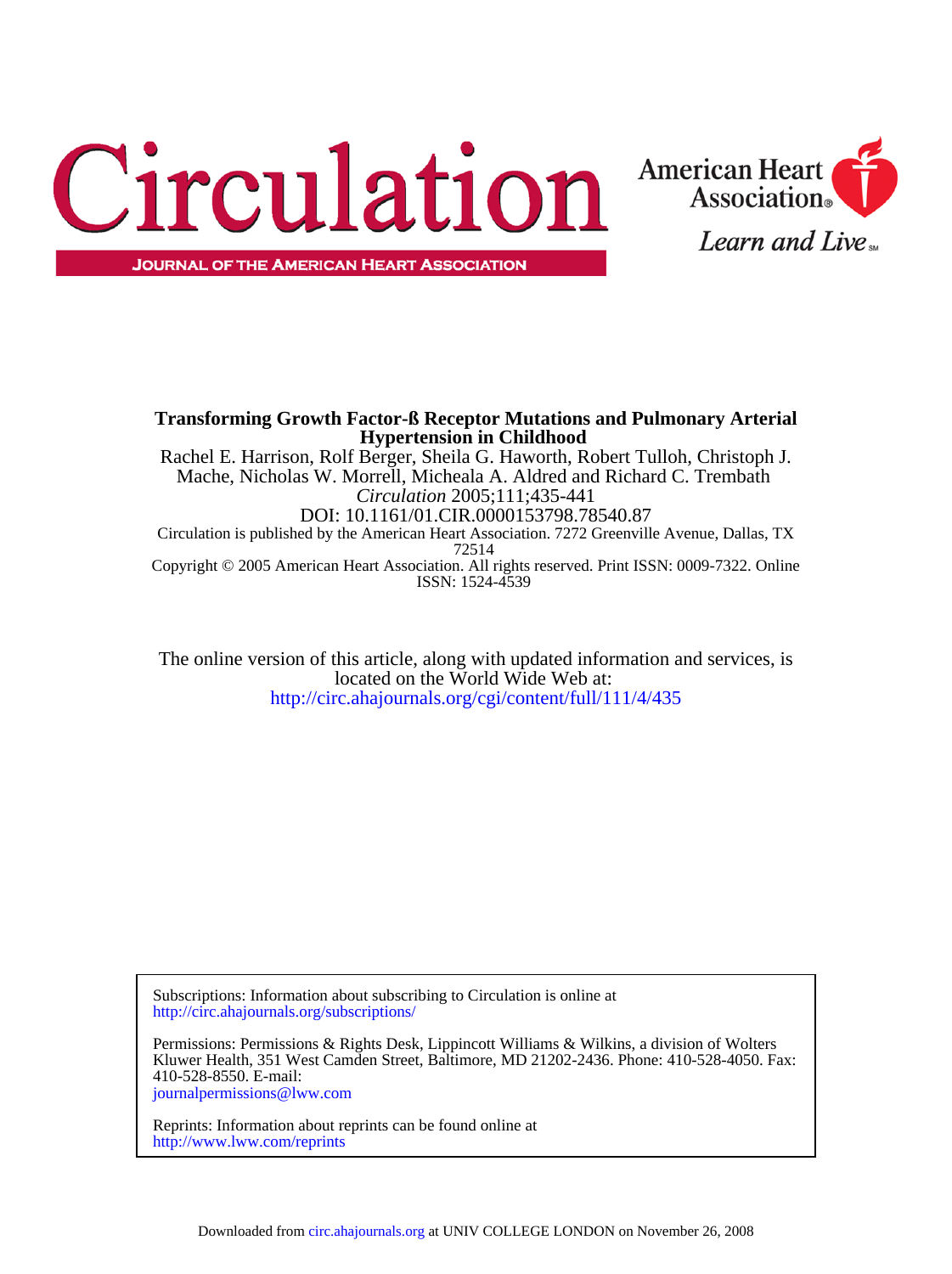



ISSN: 1524-4539 Copyright © 2005 American Heart Association. All rights reserved. Print ISSN: 0009-7322. Online 72514 Circulation is published by the American Heart Association. 7272 Greenville Avenue, Dallas, TX DOI: 10.1161/01.CIR.0000153798.78540.87 *Circulation* 2005;111;435-441 Mache, Nicholas W. Morrell, Micheala A. Aldred and Richard C. Trembath Rachel E. Harrison, Rolf Berger, Sheila G. Haworth, Robert Tulloh, Christoph J. **Hypertension in Childhood Transforming Growth Factor-ß Receptor Mutations and Pulmonary Arterial**

<http://circ.ahajournals.org/cgi/content/full/111/4/435> located on the World Wide Web at: The online version of this article, along with updated information and services, is

<http://circ.ahajournals.org/subscriptions/> Subscriptions: Information about subscribing to Circulation is online at

[journalpermissions@lww.com](mailto:journalpermissions@lww.com) 410-528-8550. E-mail: Kluwer Health, 351 West Camden Street, Baltimore, MD 21202-2436. Phone: 410-528-4050. Fax: Permissions: Permissions & Rights Desk, Lippincott Williams & Wilkins, a division of Wolters

<http://www.lww.com/reprints> Reprints: Information about reprints can be found online at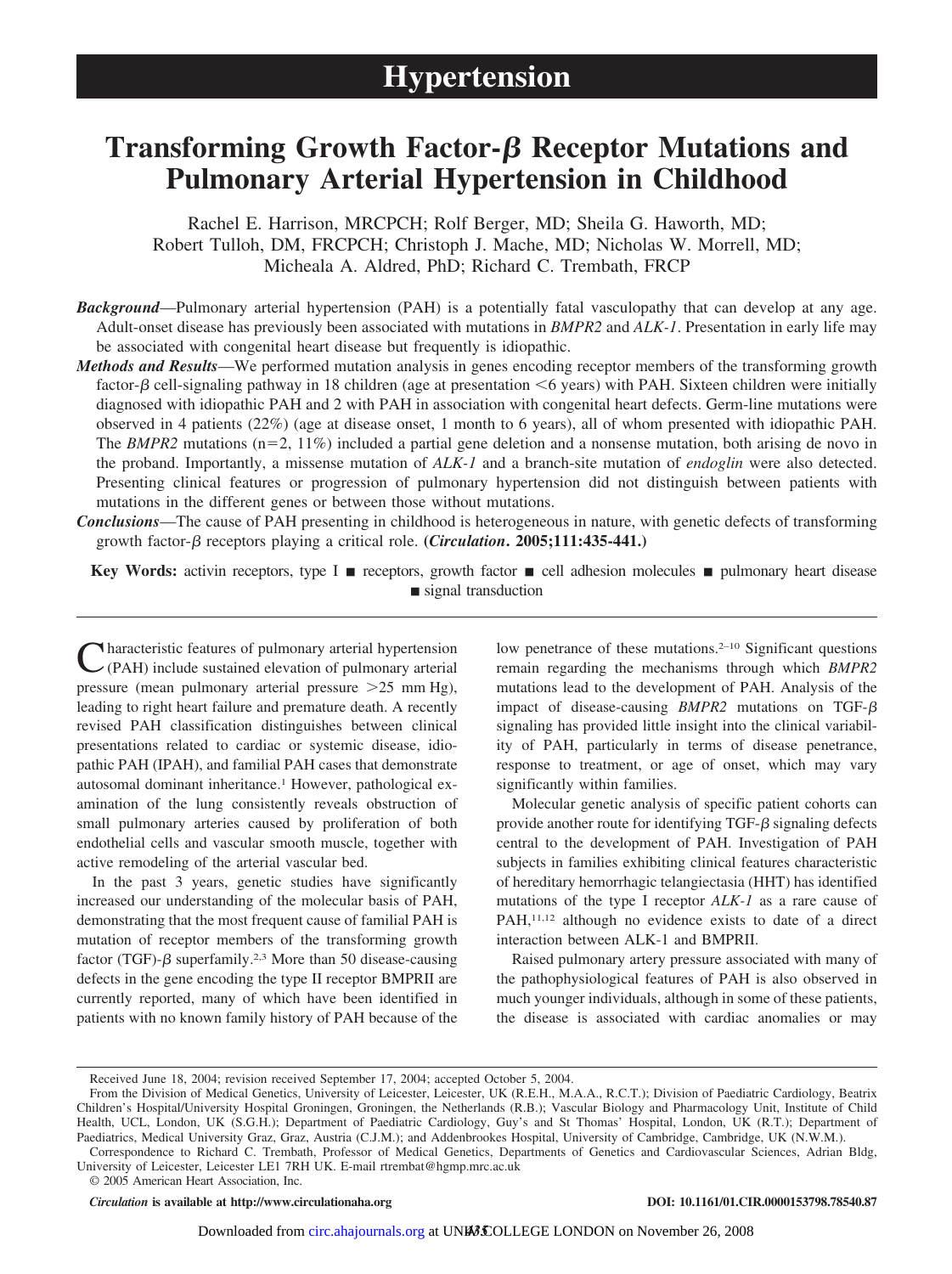# **Transforming Growth Factor-** *B* Receptor Mutations and **Pulmonary Arterial Hypertension in Childhood**

Rachel E. Harrison, MRCPCH; Rolf Berger, MD; Sheila G. Haworth, MD; Robert Tulloh, DM, FRCPCH; Christoph J. Mache, MD; Nicholas W. Morrell, MD; Micheala A. Aldred, PhD; Richard C. Trembath, FRCP

- *Background*—Pulmonary arterial hypertension (PAH) is a potentially fatal vasculopathy that can develop at any age. Adult-onset disease has previously been associated with mutations in *BMPR2* and *ALK-1*. Presentation in early life may be associated with congenital heart disease but frequently is idiopathic.
- *Methods and Results*—We performed mutation analysis in genes encoding receptor members of the transforming growth factor- $\beta$  cell-signaling pathway in 18 children (age at presentation  $\leq 6$  years) with PAH. Sixteen children were initially diagnosed with idiopathic PAH and 2 with PAH in association with congenital heart defects. Germ-line mutations were observed in 4 patients (22%) (age at disease onset, 1 month to 6 years), all of whom presented with idiopathic PAH. The *BMPR2* mutations ( $n=2$ , 11%) included a partial gene deletion and a nonsense mutation, both arising de novo in the proband. Importantly, a missense mutation of *ALK-1* and a branch-site mutation of *endoglin* were also detected. Presenting clinical features or progression of pulmonary hypertension did not distinguish between patients with mutations in the different genes or between those without mutations.
- *Conclusions*—The cause of PAH presenting in childhood is heterogeneous in nature, with genetic defects of transforming growth factor- $\beta$  receptors playing a critical role. (*Circulation*. 2005;111:435-441.)

Key Words: activin receptors, type I **n** receptors, growth factor **n** cell adhesion molecules **n** pulmonary heart disease signal transduction

Characteristic features of pulmonary arterial hypertension (PAH) include sustained elevation of pulmonary arterial pressure (mean pulmonary arterial pressure  $>25$  mm Hg), leading to right heart failure and premature death. A recently revised PAH classification distinguishes between clinical presentations related to cardiac or systemic disease, idiopathic PAH (IPAH), and familial PAH cases that demonstrate autosomal dominant inheritance.1 However, pathological examination of the lung consistently reveals obstruction of small pulmonary arteries caused by proliferation of both endothelial cells and vascular smooth muscle, together with active remodeling of the arterial vascular bed.

In the past 3 years, genetic studies have significantly increased our understanding of the molecular basis of PAH, demonstrating that the most frequent cause of familial PAH is mutation of receptor members of the transforming growth factor (TGF)- $\beta$  superfamily.<sup>2,3</sup> More than 50 disease-causing defects in the gene encoding the type II receptor BMPRII are currently reported, many of which have been identified in patients with no known family history of PAH because of the low penetrance of these mutations.<sup>2–10</sup> Significant questions remain regarding the mechanisms through which *BMPR2* mutations lead to the development of PAH. Analysis of the impact of disease-causing  $BMPR2$  mutations on TGF- $\beta$ signaling has provided little insight into the clinical variability of PAH, particularly in terms of disease penetrance, response to treatment, or age of onset, which may vary significantly within families.

Molecular genetic analysis of specific patient cohorts can provide another route for identifying TGF- $\beta$  signaling defects central to the development of PAH. Investigation of PAH subjects in families exhibiting clinical features characteristic of hereditary hemorrhagic telangiectasia (HHT) has identified mutations of the type I receptor *ALK-1* as a rare cause of PAH,<sup>11,12</sup> although no evidence exists to date of a direct interaction between ALK-1 and BMPRII.

Raised pulmonary artery pressure associated with many of the pathophysiological features of PAH is also observed in much younger individuals, although in some of these patients, the disease is associated with cardiac anomalies or may

© 2005 American Heart Association, Inc.

*Circulation* **is available at http://www.circulationaha.org DOI: 10.1161/01.CIR.0000153798.78540.87**

Received June 18, 2004; revision received September 17, 2004; accepted October 5, 2004.

From the Division of Medical Genetics, University of Leicester, Leicester, UK (R.E.H., M.A.A., R.C.T.); Division of Paediatric Cardiology, Beatrix Children's Hospital/University Hospital Groningen, Groningen, the Netherlands (R.B.); Vascular Biology and Pharmacology Unit, Institute of Child Health, UCL, London, UK (S.G.H.); Department of Paediatric Cardiology, Guy's and St Thomas' Hospital, London, UK (R.T.); Department of Paediatrics, Medical University Graz, Graz, Austria (C.J.M.); and Addenbrookes Hospital, University of Cambridge, Cambridge, UK (N.W.M.).

Correspondence to Richard C. Trembath, Professor of Medical Genetics, Departments of Genetics and Cardiovascular Sciences, Adrian Bldg, University of Leicester, Leicester LE1 7RH UK. E-mail rtrembat@hgmp.mrc.ac.uk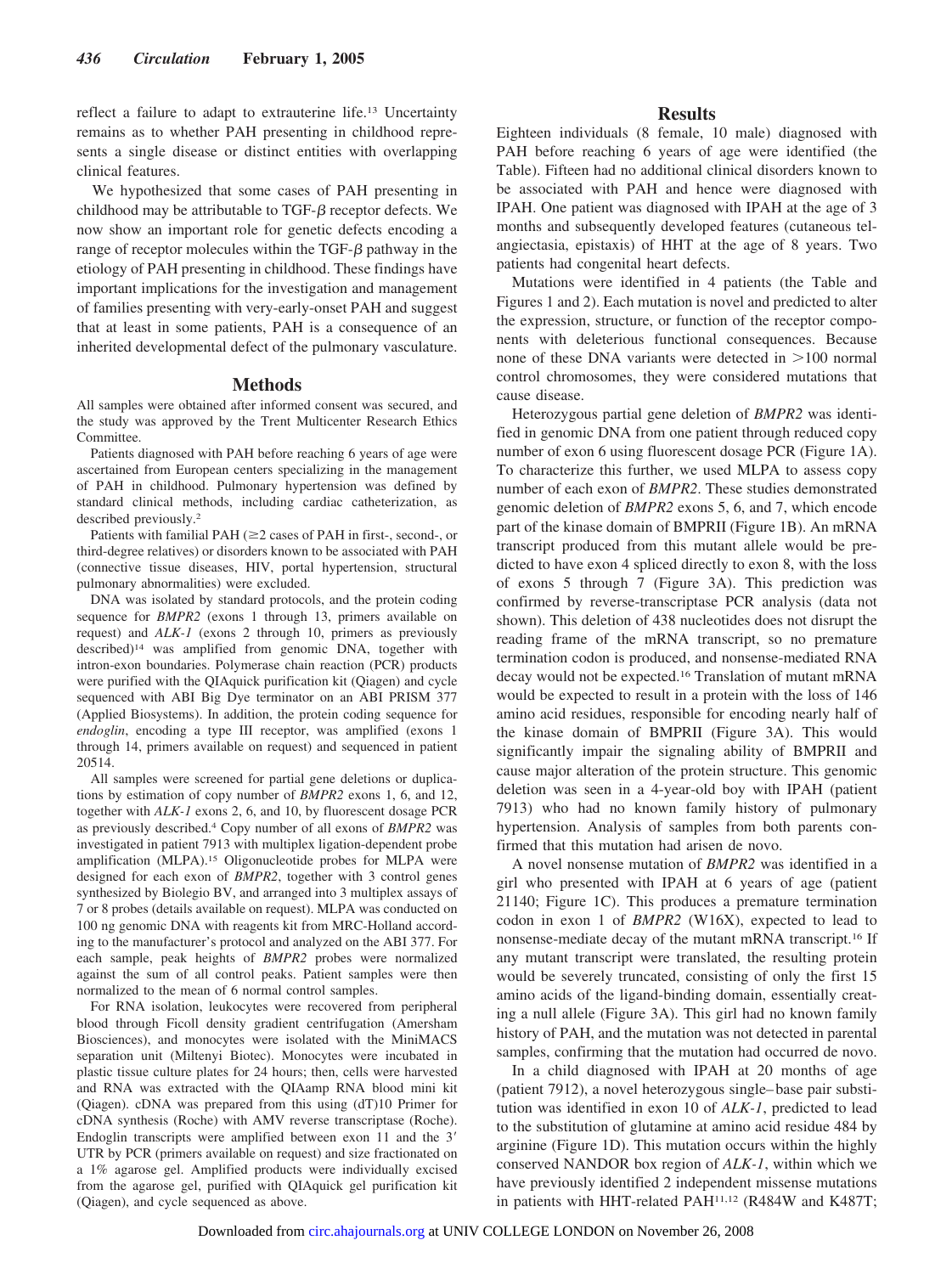reflect a failure to adapt to extrauterine life.13 Uncertainty remains as to whether PAH presenting in childhood represents a single disease or distinct entities with overlapping clinical features.

We hypothesized that some cases of PAH presenting in childhood may be attributable to  $TGF-\beta$  receptor defects. We now show an important role for genetic defects encoding a range of receptor molecules within the  $TGF- $\beta$$  pathway in the etiology of PAH presenting in childhood. These findings have important implications for the investigation and management of families presenting with very-early-onset PAH and suggest that at least in some patients, PAH is a consequence of an inherited developmental defect of the pulmonary vasculature.

# **Methods**

All samples were obtained after informed consent was secured, and the study was approved by the Trent Multicenter Research Ethics Committee.

Patients diagnosed with PAH before reaching 6 years of age were ascertained from European centers specializing in the management of PAH in childhood. Pulmonary hypertension was defined by standard clinical methods, including cardiac catheterization, as described previously.2

Patients with familial PAH  $(\geq 2$  cases of PAH in first-, second-, or third-degree relatives) or disorders known to be associated with PAH (connective tissue diseases, HIV, portal hypertension, structural pulmonary abnormalities) were excluded.

DNA was isolated by standard protocols, and the protein coding sequence for *BMPR2* (exons 1 through 13, primers available on request) and *ALK-1* (exons 2 through 10, primers as previously described)14 was amplified from genomic DNA, together with intron-exon boundaries. Polymerase chain reaction (PCR) products were purified with the QIAquick purification kit (Qiagen) and cycle sequenced with ABI Big Dye terminator on an ABI PRISM 377 (Applied Biosystems). In addition, the protein coding sequence for *endoglin*, encoding a type III receptor, was amplified (exons 1 through 14, primers available on request) and sequenced in patient 20514.

All samples were screened for partial gene deletions or duplications by estimation of copy number of *BMPR2* exons 1, 6, and 12, together with *ALK-1* exons 2, 6, and 10, by fluorescent dosage PCR as previously described.4 Copy number of all exons of *BMPR2* was investigated in patient 7913 with multiplex ligation-dependent probe amplification (MLPA).15 Oligonucleotide probes for MLPA were designed for each exon of *BMPR2*, together with 3 control genes synthesized by Biolegio BV, and arranged into 3 multiplex assays of 7 or 8 probes (details available on request). MLPA was conducted on 100 ng genomic DNA with reagents kit from MRC-Holland according to the manufacturer's protocol and analyzed on the ABI 377. For each sample, peak heights of *BMPR2* probes were normalized against the sum of all control peaks. Patient samples were then normalized to the mean of 6 normal control samples.

For RNA isolation, leukocytes were recovered from peripheral blood through Ficoll density gradient centrifugation (Amersham Biosciences), and monocytes were isolated with the MiniMACS separation unit (Miltenyi Biotec). Monocytes were incubated in plastic tissue culture plates for 24 hours; then, cells were harvested and RNA was extracted with the QIAamp RNA blood mini kit (Qiagen). cDNA was prepared from this using (dT)10 Primer for cDNA synthesis (Roche) with AMV reverse transcriptase (Roche). Endoglin transcripts were amplified between exon 11 and the 3 UTR by PCR (primers available on request) and size fractionated on a 1% agarose gel. Amplified products were individually excised from the agarose gel, purified with QIAquick gel purification kit (Qiagen), and cycle sequenced as above.

# **Results**

Eighteen individuals (8 female, 10 male) diagnosed with PAH before reaching 6 years of age were identified (the Table). Fifteen had no additional clinical disorders known to be associated with PAH and hence were diagnosed with IPAH. One patient was diagnosed with IPAH at the age of 3 months and subsequently developed features (cutaneous telangiectasia, epistaxis) of HHT at the age of 8 years. Two patients had congenital heart defects.

Mutations were identified in 4 patients (the Table and Figures 1 and 2). Each mutation is novel and predicted to alter the expression, structure, or function of the receptor components with deleterious functional consequences. Because none of these DNA variants were detected in  $>100$  normal control chromosomes, they were considered mutations that cause disease.

Heterozygous partial gene deletion of *BMPR2* was identified in genomic DNA from one patient through reduced copy number of exon 6 using fluorescent dosage PCR (Figure 1A). To characterize this further, we used MLPA to assess copy number of each exon of *BMPR2*. These studies demonstrated genomic deletion of *BMPR2* exons 5, 6, and 7, which encode part of the kinase domain of BMPRII (Figure 1B). An mRNA transcript produced from this mutant allele would be predicted to have exon 4 spliced directly to exon 8, with the loss of exons 5 through 7 (Figure 3A). This prediction was confirmed by reverse-transcriptase PCR analysis (data not shown). This deletion of 438 nucleotides does not disrupt the reading frame of the mRNA transcript, so no premature termination codon is produced, and nonsense-mediated RNA decay would not be expected.16 Translation of mutant mRNA would be expected to result in a protein with the loss of 146 amino acid residues, responsible for encoding nearly half of the kinase domain of BMPRII (Figure 3A). This would significantly impair the signaling ability of BMPRII and cause major alteration of the protein structure. This genomic deletion was seen in a 4-year-old boy with IPAH (patient 7913) who had no known family history of pulmonary hypertension. Analysis of samples from both parents confirmed that this mutation had arisen de novo.

A novel nonsense mutation of *BMPR2* was identified in a girl who presented with IPAH at 6 years of age (patient 21140; Figure 1C). This produces a premature termination codon in exon 1 of *BMPR2* (W16X), expected to lead to nonsense-mediate decay of the mutant mRNA transcript.16 If any mutant transcript were translated, the resulting protein would be severely truncated, consisting of only the first 15 amino acids of the ligand-binding domain, essentially creating a null allele (Figure 3A). This girl had no known family history of PAH, and the mutation was not detected in parental samples, confirming that the mutation had occurred de novo.

In a child diagnosed with IPAH at 20 months of age (patient 7912), a novel heterozygous single– base pair substitution was identified in exon 10 of *ALK-1*, predicted to lead to the substitution of glutamine at amino acid residue 484 by arginine (Figure 1D). This mutation occurs within the highly conserved NANDOR box region of *ALK-1*, within which we have previously identified 2 independent missense mutations in patients with HHT-related PAH<sup>11,12</sup> (R484W and K487T;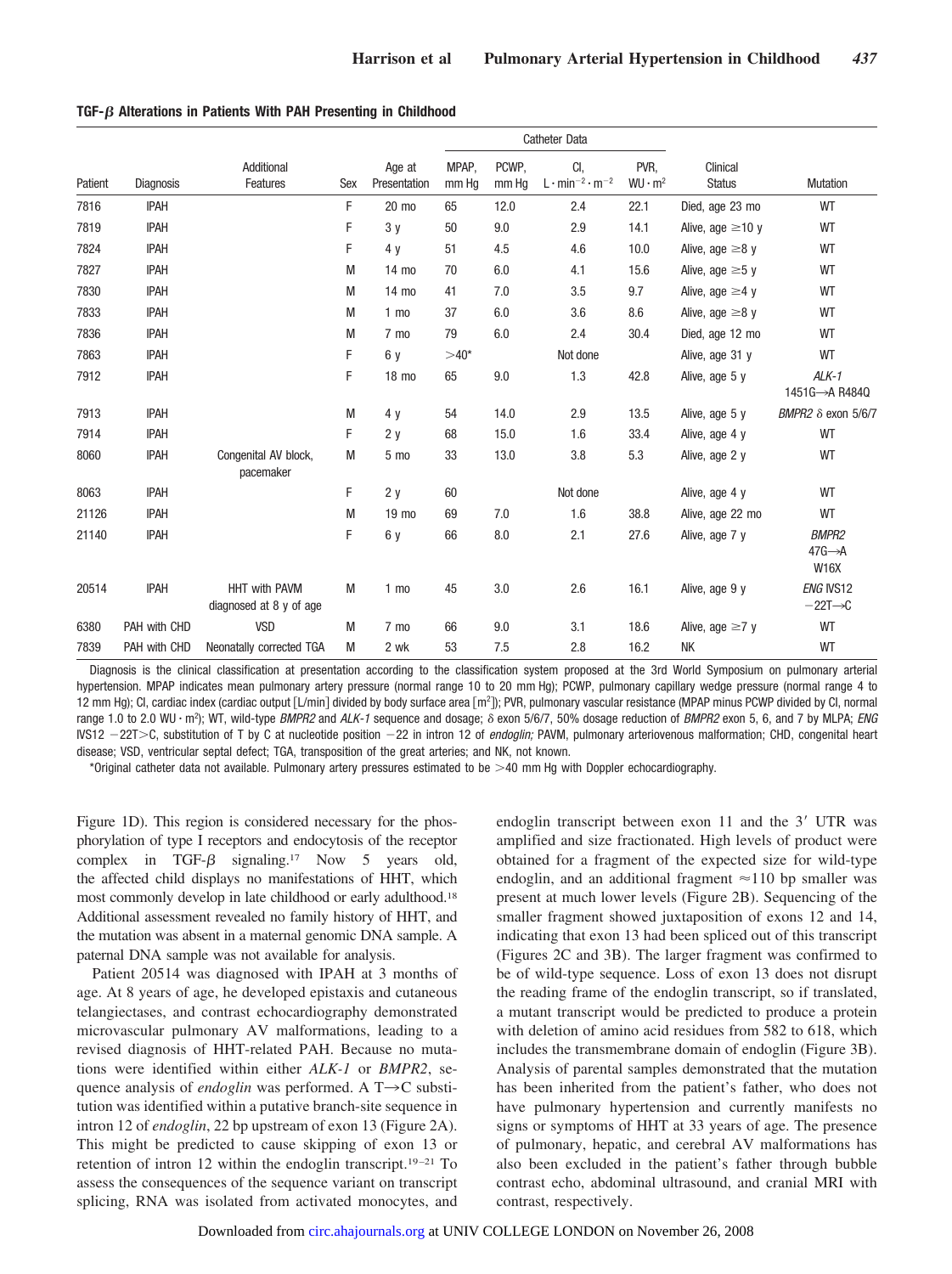|         |                  |                                          |     |                        | Catheter Data  |                |                                                               |                        |                           |                                                    |
|---------|------------------|------------------------------------------|-----|------------------------|----------------|----------------|---------------------------------------------------------------|------------------------|---------------------------|----------------------------------------------------|
| Patient | <b>Diagnosis</b> | Additional<br>Features                   | Sex | Age at<br>Presentation | MPAP.<br>mm Hq | PCWP,<br>mm Hq | CI.<br>$\mathsf{L}\cdot\mathsf{min}^{-2}\cdot\mathsf{m}^{-2}$ | PVR,<br>$WU \cdot m^2$ | Clinical<br><b>Status</b> | Mutation                                           |
| 7816    | <b>IPAH</b>      |                                          | F   | 20 mo                  | 65             | 12.0           | 2.4                                                           | 22.1                   | Died, age 23 mo           | WT                                                 |
| 7819    | <b>IPAH</b>      |                                          | F   | 3 <sub>v</sub>         | 50             | 9.0            | 2.9                                                           | 14.1                   | Alive, age $\geq$ 10 y    | WT                                                 |
| 7824    | <b>IPAH</b>      |                                          | F   | 4 <sub>v</sub>         | 51             | 4.5            | 4.6                                                           | 10.0                   | Alive, age $\geq 8$ y     | WT                                                 |
| 7827    | <b>IPAH</b>      |                                          | M   | 14 mo                  | 70             | 6.0            | 4.1                                                           | 15.6                   | Alive, age $\geq 5$ y     | WT                                                 |
| 7830    | <b>IPAH</b>      |                                          | M   | 14 mo                  | 41             | 7.0            | 3.5                                                           | 9.7                    | Alive, age $\geq$ 4 y     | WT                                                 |
| 7833    | <b>IPAH</b>      |                                          | M   | $1 \text{ mo}$         | 37             | 6.0            | 3.6                                                           | 8.6                    | Alive, age $\geq$ 8 y     | WT                                                 |
| 7836    | <b>IPAH</b>      |                                          | M   | $7 \text{ mo}$         | 79             | 6.0            | 2.4                                                           | 30.4                   | Died, age 12 mo           | WT                                                 |
| 7863    | <b>IPAH</b>      |                                          | F   | 6 y                    | $>40*$         |                | Not done                                                      |                        | Alive, age 31 y           | WT                                                 |
| 7912    | <b>IPAH</b>      |                                          | F   | 18 mo                  | 65             | 9.0            | 1.3                                                           | 42.8                   | Alive, age 5 y            | $ALK-1$<br>1451G→A R484Q                           |
| 7913    | <b>IPAH</b>      |                                          | M   | 4y                     | 54             | 14.0           | 2.9                                                           | 13.5                   | Alive, age 5 y            | BMPR2 $\delta$ exon 5/6/7                          |
| 7914    | <b>IPAH</b>      |                                          | F   | 2y                     | 68             | 15.0           | 1.6                                                           | 33.4                   | Alive, age 4 y            | WT                                                 |
| 8060    | <b>IPAH</b>      | Congenital AV block,<br>pacemaker        | M   | $5 \text{ mo}$         | 33             | 13.0           | 3.8                                                           | 5.3                    | Alive, age 2 y            | WT                                                 |
| 8063    | <b>IPAH</b>      |                                          | F   | 2y                     | 60             |                | Not done                                                      |                        | Alive, age 4 y            | WT                                                 |
| 21126   | <b>IPAH</b>      |                                          | M   | 19 mo                  | 69             | 7.0            | 1.6                                                           | 38.8                   | Alive, age 22 mo          | WT                                                 |
| 21140   | <b>IPAH</b>      |                                          | F   | 6 y                    | 66             | 8.0            | 2.1                                                           | 27.6                   | Alive, age 7 y            | <b>BMPR2</b><br>$47G \rightarrow A$<br><b>W16X</b> |
| 20514   | <b>IPAH</b>      | HHT with PAVM<br>diagnosed at 8 y of age | M   | $1 \text{ mo}$         | 45             | 3.0            | 2.6                                                           | 16.1                   | Alive, age 9 y            | <b>ENG IVS12</b><br>$-22T \rightarrow C$           |
| 6380    | PAH with CHD     | <b>VSD</b>                               | M   | 7 mo                   | 66             | 9.0            | 3.1                                                           | 18.6                   | Alive, age $\geq 7$ y     | WT                                                 |
| 7839    | PAH with CHD     | Neonatally corrected TGA                 | M   | 2 wk                   | 53             | 7.5            | 2.8                                                           | 16.2                   | <b>NK</b>                 | WT                                                 |

#### **TGF- Alterations in Patients With PAH Presenting in Childhood**

Diagnosis is the clinical classification at presentation according to the classification system proposed at the 3rd World Symposium on pulmonary arterial hypertension. MPAP indicates mean pulmonary artery pressure (normal range 10 to 20 mm Hg); PCWP, pulmonary capillary wedge pressure (normal range 4 to 12 mm Hg); CI, cardiac index (cardiac output [L/min] divided by body surface area [m²]); PVR, pulmonary vascular resistance (MPAP minus PCWP divided by CI, normal range 1.0 to 2.0 WU · m<sup>2</sup>); WT, wild-type *BMPR2* and ALK-1 sequence and dosage;  $\delta$  exon 5/6/7, 50% dosage reduction of *BMPR2* exon 5, 6, and 7 by MLPA; *ENG* IVS12 -22T>C, substitution of T by C at nucleotide position -22 in intron 12 of *endoglin;* PAVM, pulmonary arteriovenous malformation; CHD, congenital heart disease; VSD, ventricular septal defect; TGA, transposition of the great arteries; and NK, not known.

\*Original catheter data not available. Pulmonary artery pressures estimated to be 40 mm Hg with Doppler echocardiography.

Figure 1D). This region is considered necessary for the phosphorylation of type I receptors and endocytosis of the receptor complex in TGF- $\beta$  signaling.<sup>17</sup> Now 5 years old, the affected child displays no manifestations of HHT, which most commonly develop in late childhood or early adulthood.18 Additional assessment revealed no family history of HHT, and the mutation was absent in a maternal genomic DNA sample. A paternal DNA sample was not available for analysis.

Patient 20514 was diagnosed with IPAH at 3 months of age. At 8 years of age, he developed epistaxis and cutaneous telangiectases, and contrast echocardiography demonstrated microvascular pulmonary AV malformations, leading to a revised diagnosis of HHT-related PAH. Because no mutations were identified within either *ALK-1* or *BMPR2*, sequence analysis of *endoglin* was performed. A  $T\rightarrow C$  substitution was identified within a putative branch-site sequence in intron 12 of *endoglin*, 22 bp upstream of exon 13 (Figure 2A). This might be predicted to cause skipping of exon 13 or retention of intron 12 within the endoglin transcript.<sup>19-21</sup> To assess the consequences of the sequence variant on transcript splicing, RNA was isolated from activated monocytes, and

endoglin transcript between exon 11 and the 3' UTR was amplified and size fractionated. High levels of product were obtained for a fragment of the expected size for wild-type endoglin, and an additional fragment  $\approx$  110 bp smaller was present at much lower levels (Figure 2B). Sequencing of the smaller fragment showed juxtaposition of exons 12 and 14, indicating that exon 13 had been spliced out of this transcript (Figures 2C and 3B). The larger fragment was confirmed to be of wild-type sequence. Loss of exon 13 does not disrupt the reading frame of the endoglin transcript, so if translated, a mutant transcript would be predicted to produce a protein with deletion of amino acid residues from 582 to 618, which includes the transmembrane domain of endoglin (Figure 3B). Analysis of parental samples demonstrated that the mutation has been inherited from the patient's father, who does not have pulmonary hypertension and currently manifests no signs or symptoms of HHT at 33 years of age. The presence of pulmonary, hepatic, and cerebral AV malformations has also been excluded in the patient's father through bubble contrast echo, abdominal ultrasound, and cranial MRI with contrast, respectively.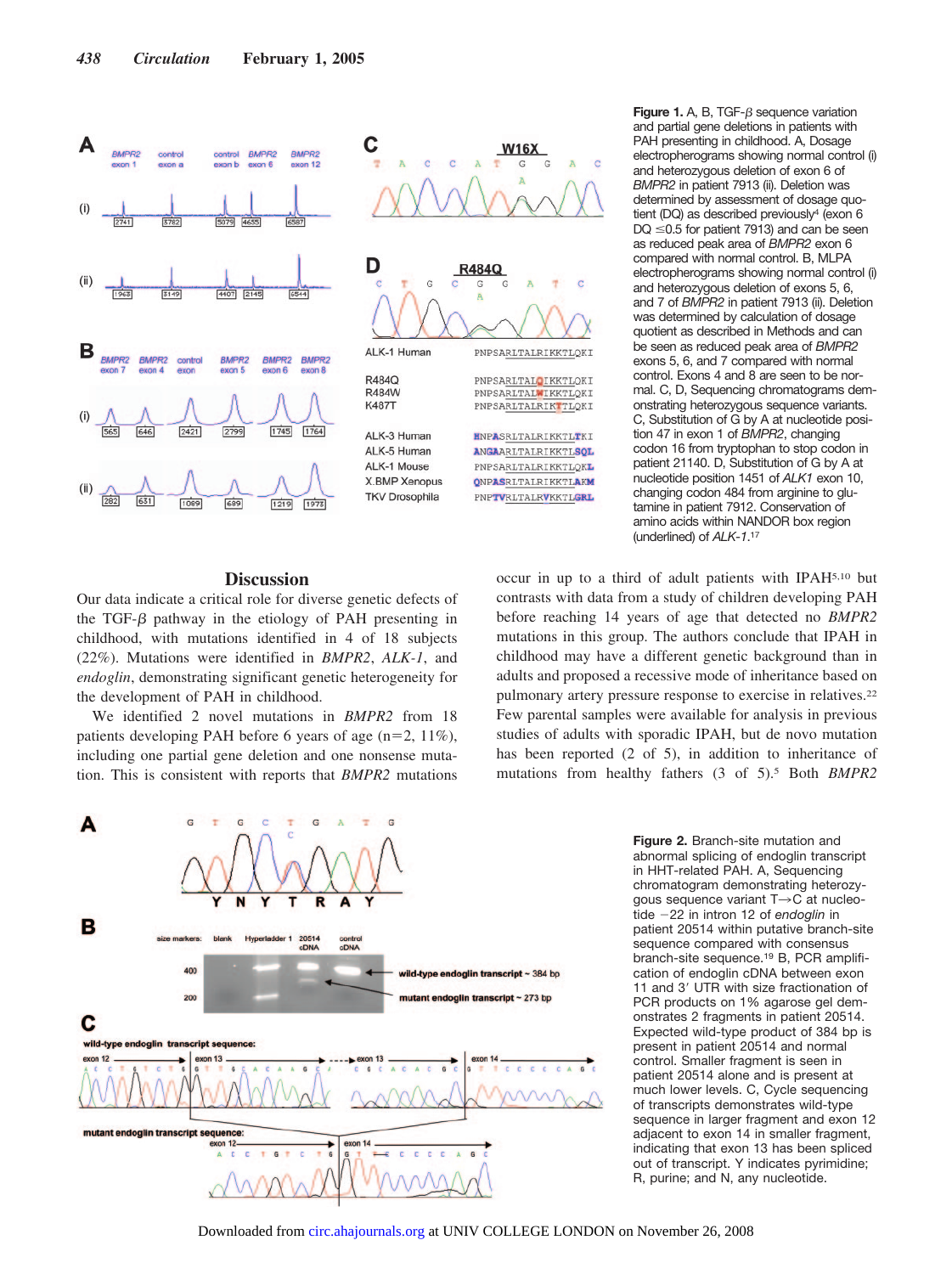

**Figure 1.** A, B, TGF- $\beta$  sequence variation and partial gene deletions in patients with PAH presenting in childhood. A, Dosage electropherograms showing normal control (i) and heterozygous deletion of exon 6 of *BMPR2* in patient 7913 (ii). Deletion was determined by assessment of dosage quotient (DQ) as described previously4 (exon 6  $DQ \leq 0.5$  for patient 7913) and can be seen as reduced peak area of *BMPR2* exon 6 compared with normal control. B, MLPA electropherograms showing normal control (i) and heterozygous deletion of exons 5, 6, and 7 of *BMPR2* in patient 7913 (ii). Deletion was determined by calculation of dosage quotient as described in Methods and can be seen as reduced peak area of *BMPR2* exons 5, 6, and 7 compared with normal control. Exons 4 and 8 are seen to be normal. C, D, Sequencing chromatograms demonstrating heterozygous sequence variants. C, Substitution of G by A at nucleotide position 47 in exon 1 of *BMPR2*, changing codon 16 from tryptophan to stop codon in patient 21140. D, Substitution of G by A at nucleotide position 1451 of *ALK1* exon 10, changing codon 484 from arginine to glutamine in patient 7912. Conservation of amino acids within NANDOR box region (underlined) of *ALK-1*. 17

# **Discussion**

Our data indicate a critical role for diverse genetic defects of the TGF- $\beta$  pathway in the etiology of PAH presenting in childhood, with mutations identified in 4 of 18 subjects (22%). Mutations were identified in *BMPR2*, *ALK-1*, and *endoglin*, demonstrating significant genetic heterogeneity for the development of PAH in childhood.

We identified 2 novel mutations in *BMPR2* from 18 patients developing PAH before 6 years of age  $(n=2, 11\%)$ , including one partial gene deletion and one nonsense mutation. This is consistent with reports that *BMPR2* mutations occur in up to a third of adult patients with IPAH5,10 but contrasts with data from a study of children developing PAH before reaching 14 years of age that detected no *BMPR2* mutations in this group. The authors conclude that IPAH in childhood may have a different genetic background than in adults and proposed a recessive mode of inheritance based on pulmonary artery pressure response to exercise in relatives.22 Few parental samples were available for analysis in previous studies of adults with sporadic IPAH, but de novo mutation has been reported (2 of 5), in addition to inheritance of mutations from healthy fathers (3 of 5).5 Both *BMPR2*



**Figure 2.** Branch-site mutation and abnormal splicing of endoglin transcript in HHT-related PAH. A, Sequencing chromatogram demonstrating heterozygous sequence variant  $T\rightarrow C$  at nucleotide 22 in intron 12 of *endoglin* in patient 20514 within putative branch-site sequence compared with consensus branch-site sequence.19 B, PCR amplification of endoglin cDNA between exon 11 and 3' UTR with size fractionation of PCR products on 1% agarose gel demonstrates 2 fragments in patient 20514. Expected wild-type product of 384 bp is present in patient 20514 and normal control. Smaller fragment is seen in patient 20514 alone and is present at much lower levels. C, Cycle sequencing of transcripts demonstrates wild-type sequence in larger fragment and exon 12 adjacent to exon 14 in smaller fragment, indicating that exon 13 has been spliced out of transcript. Y indicates pyrimidine; R, purine; and N, any nucleotide.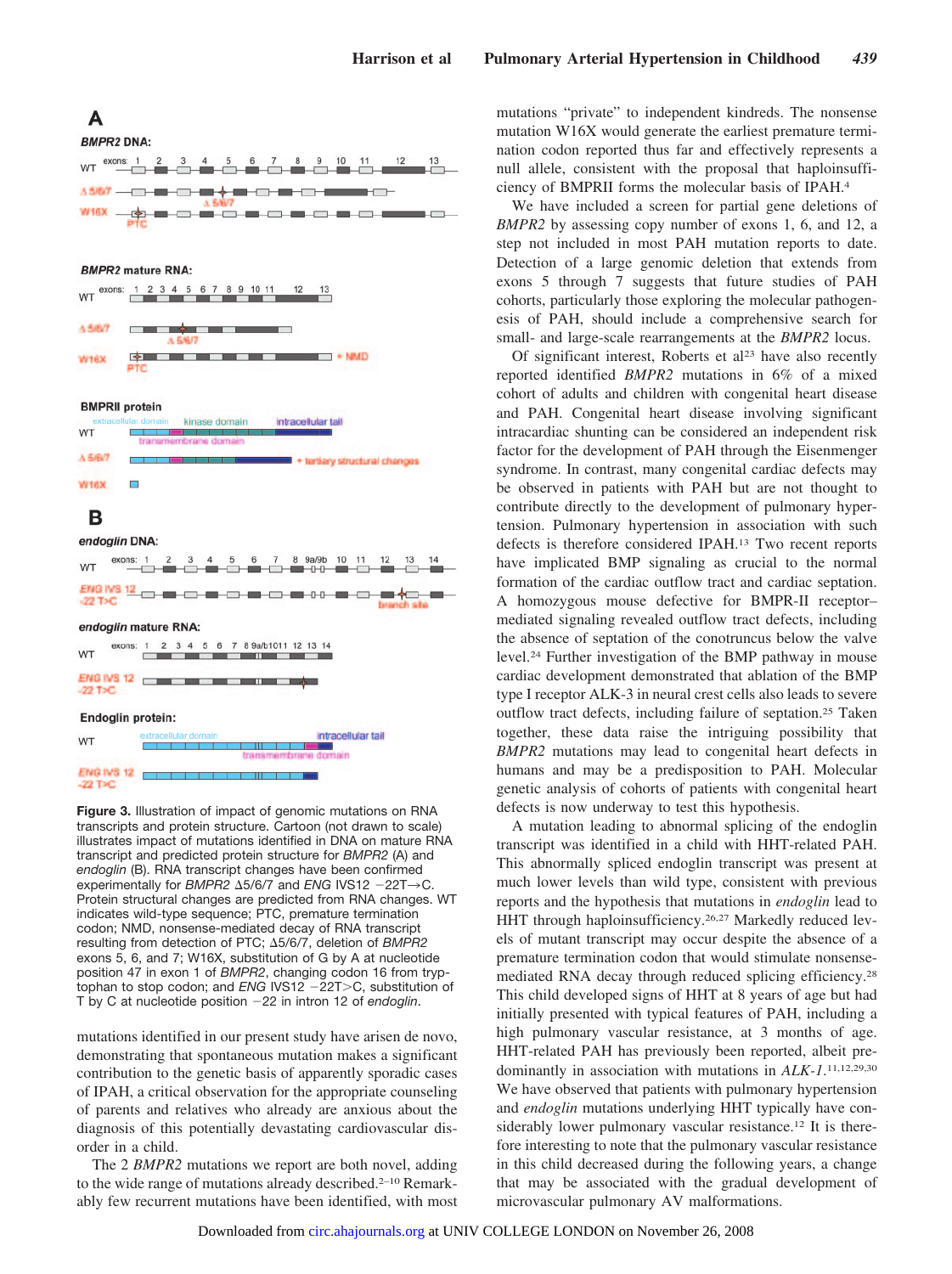#### A **BMPR2 DNA: WT**  $\leftrightarrow$  $\overline{\phantom{a}}$  $\begin{array}{c} \begin{array}{c} \begin{array}{c} \begin{array}{c} \end{array} \\ \end{array} \end{array} \end{array} \end{array}$ **BMPR2** mature RNA: 2 3 4 5 6 7 8 9 10 11  $12$ exons: **WT**  $A$ 5/6/  $\overline{\phantom{a}}$  $3.50$  $=$  + NMD W18X **BMPRII** protein kinase domain intracellular tail WT  $\triangle$  5/6/7 + tertiary structural changes W16X В endoglin DNA: 8 9a/9b 10  $12$  $11$ **WT** ENG IVS ----------- $-22$  T>C endoglin mature RNA:  $2 \t3 \t4 \t5$ 6 7 8 9a/b1011 12 13 14 **WT** <u> 1980 - Anton Antonio III, matematik</u> **ENG IVS 12** -----------22 T>C Endoglin protein: intracellular tail **WT** ENG IVS 12  $-22$  T>C

**Figure 3.** Illustration of impact of genomic mutations on RNA transcripts and protein structure. Cartoon (not drawn to scale) illustrates impact of mutations identified in DNA on mature RNA transcript and predicted protein structure for *BMPR2* (A) and *endoglin* (B). RNA transcript changes have been confirmed experimentally for *BMPR2*  $\Delta$ 5/6/7 and *ENG* IVS12 -22T $\rightarrow$ C. Protein structural changes are predicted from RNA changes. WT indicates wild-type sequence; PTC, premature termination codon; NMD, nonsense-mediated decay of RNA transcript resulting from detection of PTC; 5/6/7, deletion of *BMPR2* exons 5, 6, and 7; W16X, substitution of G by A at nucleotide position 47 in exon 1 of *BMPR2*, changing codon 16 from tryptophan to stop codon; and *ENG* IVS12 -22T>C, substitution of T by C at nucleotide position 22 in intron 12 of *endoglin*.

mutations identified in our present study have arisen de novo, demonstrating that spontaneous mutation makes a significant contribution to the genetic basis of apparently sporadic cases of IPAH, a critical observation for the appropriate counseling of parents and relatives who already are anxious about the diagnosis of this potentially devastating cardiovascular disorder in a child.

The 2 *BMPR2* mutations we report are both novel, adding to the wide range of mutations already described.<sup>2-10</sup> Remarkably few recurrent mutations have been identified, with most

mutations "private" to independent kindreds. The nonsense mutation W16X would generate the earliest premature termination codon reported thus far and effectively represents a null allele, consistent with the proposal that haploinsufficiency of BMPRII forms the molecular basis of IPAH.4

We have included a screen for partial gene deletions of *BMPR2* by assessing copy number of exons 1, 6, and 12, a step not included in most PAH mutation reports to date. Detection of a large genomic deletion that extends from exons 5 through 7 suggests that future studies of PAH cohorts, particularly those exploring the molecular pathogenesis of PAH, should include a comprehensive search for small- and large-scale rearrangements at the *BMPR2* locus.

Of significant interest, Roberts et al<sup>23</sup> have also recently reported identified *BMPR2* mutations in 6% of a mixed cohort of adults and children with congenital heart disease and PAH. Congenital heart disease involving significant intracardiac shunting can be considered an independent risk factor for the development of PAH through the Eisenmenger syndrome. In contrast, many congenital cardiac defects may be observed in patients with PAH but are not thought to contribute directly to the development of pulmonary hypertension. Pulmonary hypertension in association with such defects is therefore considered IPAH.13 Two recent reports have implicated BMP signaling as crucial to the normal formation of the cardiac outflow tract and cardiac septation. A homozygous mouse defective for BMPR-II receptor– mediated signaling revealed outflow tract defects, including the absence of septation of the conotruncus below the valve level.24 Further investigation of the BMP pathway in mouse cardiac development demonstrated that ablation of the BMP type I receptor ALK-3 in neural crest cells also leads to severe outflow tract defects, including failure of septation.25 Taken together, these data raise the intriguing possibility that *BMPR2* mutations may lead to congenital heart defects in humans and may be a predisposition to PAH. Molecular genetic analysis of cohorts of patients with congenital heart defects is now underway to test this hypothesis.

A mutation leading to abnormal splicing of the endoglin transcript was identified in a child with HHT-related PAH. This abnormally spliced endoglin transcript was present at much lower levels than wild type, consistent with previous reports and the hypothesis that mutations in *endoglin* lead to HHT through haploinsufficiency.<sup>26,27</sup> Markedly reduced levels of mutant transcript may occur despite the absence of a premature termination codon that would stimulate nonsensemediated RNA decay through reduced splicing efficiency.28 This child developed signs of HHT at 8 years of age but had initially presented with typical features of PAH, including a high pulmonary vascular resistance, at 3 months of age. HHT-related PAH has previously been reported, albeit predominantly in association with mutations in *ALK-1*. 11,12,29,30 We have observed that patients with pulmonary hypertension and *endoglin* mutations underlying HHT typically have considerably lower pulmonary vascular resistance.<sup>12</sup> It is therefore interesting to note that the pulmonary vascular resistance in this child decreased during the following years, a change that may be associated with the gradual development of microvascular pulmonary AV malformations.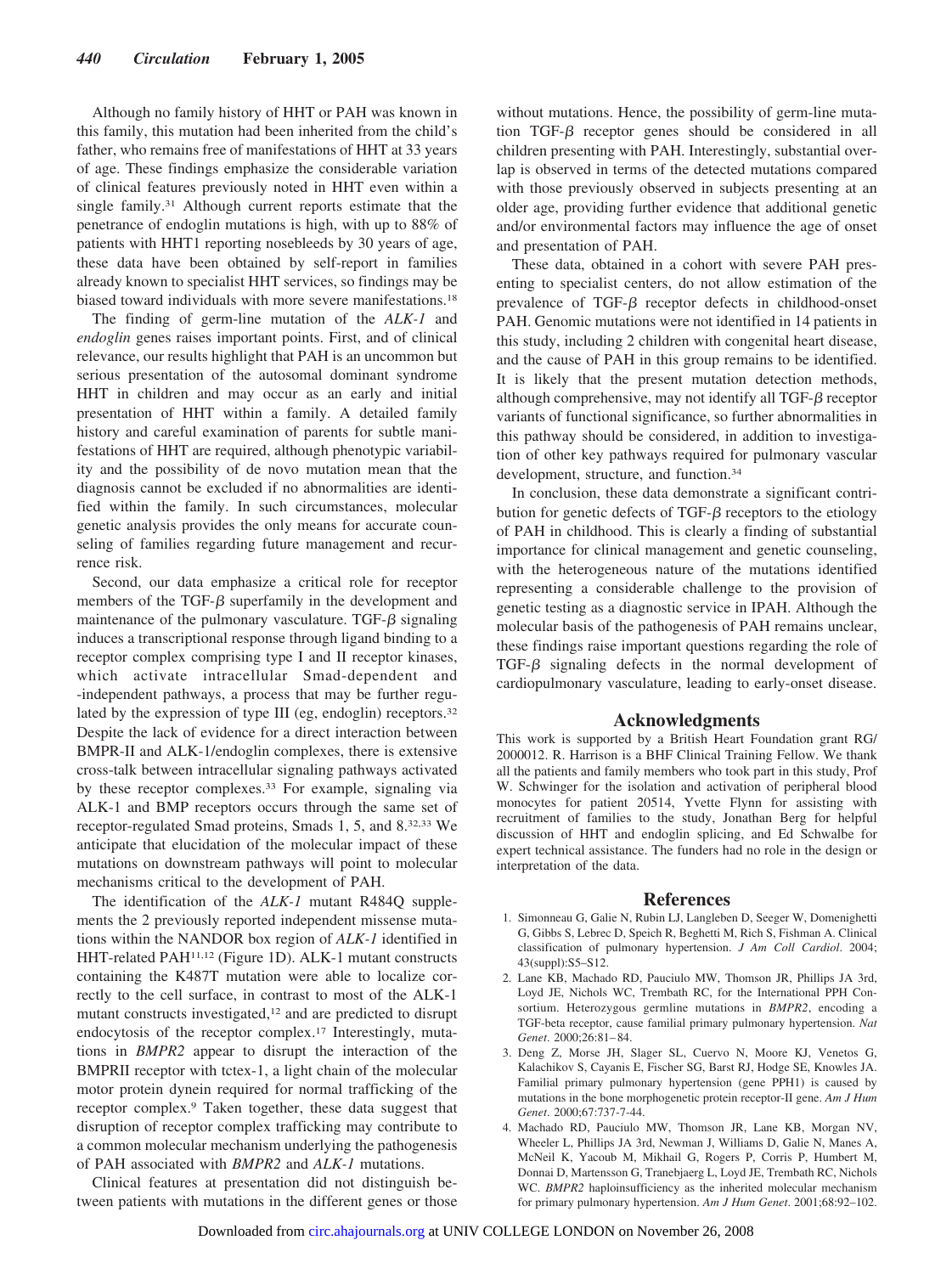Although no family history of HHT or PAH was known in this family, this mutation had been inherited from the child's father, who remains free of manifestations of HHT at 33 years of age. These findings emphasize the considerable variation of clinical features previously noted in HHT even within a single family.31 Although current reports estimate that the penetrance of endoglin mutations is high, with up to 88% of patients with HHT1 reporting nosebleeds by 30 years of age, these data have been obtained by self-report in families already known to specialist HHT services, so findings may be biased toward individuals with more severe manifestations.18

The finding of germ-line mutation of the *ALK-1* and *endoglin* genes raises important points. First, and of clinical relevance, our results highlight that PAH is an uncommon but serious presentation of the autosomal dominant syndrome HHT in children and may occur as an early and initial presentation of HHT within a family. A detailed family history and careful examination of parents for subtle manifestations of HHT are required, although phenotypic variability and the possibility of de novo mutation mean that the diagnosis cannot be excluded if no abnormalities are identified within the family. In such circumstances, molecular genetic analysis provides the only means for accurate counseling of families regarding future management and recurrence risk.

Second, our data emphasize a critical role for receptor members of the TGF- $\beta$  superfamily in the development and maintenance of the pulmonary vasculature. TGF- $\beta$  signaling induces a transcriptional response through ligand binding to a receptor complex comprising type I and II receptor kinases, which activate intracellular Smad-dependent and -independent pathways, a process that may be further regulated by the expression of type III (eg, endoglin) receptors.32 Despite the lack of evidence for a direct interaction between BMPR-II and ALK-1/endoglin complexes, there is extensive cross-talk between intracellular signaling pathways activated by these receptor complexes.33 For example, signaling via ALK-1 and BMP receptors occurs through the same set of receptor-regulated Smad proteins, Smads 1, 5, and 8.32,33 We anticipate that elucidation of the molecular impact of these mutations on downstream pathways will point to molecular mechanisms critical to the development of PAH.

The identification of the *ALK-1* mutant R484Q supplements the 2 previously reported independent missense mutations within the NANDOR box region of *ALK-1* identified in HHT-related PAH11,12 (Figure 1D). ALK-1 mutant constructs containing the K487T mutation were able to localize correctly to the cell surface, in contrast to most of the ALK-1 mutant constructs investigated,<sup>12</sup> and are predicted to disrupt endocytosis of the receptor complex.17 Interestingly, mutations in *BMPR2* appear to disrupt the interaction of the BMPRII receptor with tctex-1, a light chain of the molecular motor protein dynein required for normal trafficking of the receptor complex.9 Taken together, these data suggest that disruption of receptor complex trafficking may contribute to a common molecular mechanism underlying the pathogenesis of PAH associated with *BMPR2* and *ALK-1* mutations.

Clinical features at presentation did not distinguish between patients with mutations in the different genes or those

without mutations. Hence, the possibility of germ-line mutation TGF- $\beta$  receptor genes should be considered in all children presenting with PAH. Interestingly, substantial overlap is observed in terms of the detected mutations compared with those previously observed in subjects presenting at an older age, providing further evidence that additional genetic and/or environmental factors may influence the age of onset and presentation of PAH.

These data, obtained in a cohort with severe PAH presenting to specialist centers, do not allow estimation of the prevalence of TGF- $\beta$  receptor defects in childhood-onset PAH. Genomic mutations were not identified in 14 patients in this study, including 2 children with congenital heart disease, and the cause of PAH in this group remains to be identified. It is likely that the present mutation detection methods, although comprehensive, may not identify all TGF- $\beta$  receptor variants of functional significance, so further abnormalities in this pathway should be considered, in addition to investigation of other key pathways required for pulmonary vascular development, structure, and function.34

In conclusion, these data demonstrate a significant contribution for genetic defects of TGF- $\beta$  receptors to the etiology of PAH in childhood. This is clearly a finding of substantial importance for clinical management and genetic counseling, with the heterogeneous nature of the mutations identified representing a considerable challenge to the provision of genetic testing as a diagnostic service in IPAH. Although the molecular basis of the pathogenesis of PAH remains unclear, these findings raise important questions regarding the role of  $TGF- $\beta$  signaling defects in the normal development of$ cardiopulmonary vasculature, leading to early-onset disease.

## **Acknowledgments**

This work is supported by a British Heart Foundation grant RG/ 2000012. R. Harrison is a BHF Clinical Training Fellow. We thank all the patients and family members who took part in this study, Prof W. Schwinger for the isolation and activation of peripheral blood monocytes for patient 20514, Yvette Flynn for assisting with recruitment of families to the study, Jonathan Berg for helpful discussion of HHT and endoglin splicing, and Ed Schwalbe for expert technical assistance. The funders had no role in the design or interpretation of the data.

### **References**

- 1. Simonneau G, Galie N, Rubin LJ, Langleben D, Seeger W, Domenighetti G, Gibbs S, Lebrec D, Speich R, Beghetti M, Rich S, Fishman A. Clinical classification of pulmonary hypertension. *J Am Coll Cardiol*. 2004; 43(suppl):S5–S12.
- 2. Lane KB, Machado RD, Pauciulo MW, Thomson JR, Phillips JA 3rd, Loyd JE, Nichols WC, Trembath RC, for the International PPH Consortium. Heterozygous germline mutations in *BMPR2*, encoding a TGF-beta receptor, cause familial primary pulmonary hypertension. *Nat Genet*. 2000;26:81– 84.
- 3. Deng Z, Morse JH, Slager SL, Cuervo N, Moore KJ, Venetos G, Kalachikov S, Cayanis E, Fischer SG, Barst RJ, Hodge SE, Knowles JA. Familial primary pulmonary hypertension (gene PPH1) is caused by mutations in the bone morphogenetic protein receptor-II gene. *Am J Hum Genet*. 2000;67:737-7-44.
- 4. Machado RD, Pauciulo MW, Thomson JR, Lane KB, Morgan NV, Wheeler L, Phillips JA 3rd, Newman J, Williams D, Galie N, Manes A, McNeil K, Yacoub M, Mikhail G, Rogers P, Corris P, Humbert M, Donnai D, Martensson G, Tranebjaerg L, Loyd JE, Trembath RC, Nichols WC. *BMPR2* haploinsufficiency as the inherited molecular mechanism for primary pulmonary hypertension. *Am J Hum Genet*. 2001;68:92–102.